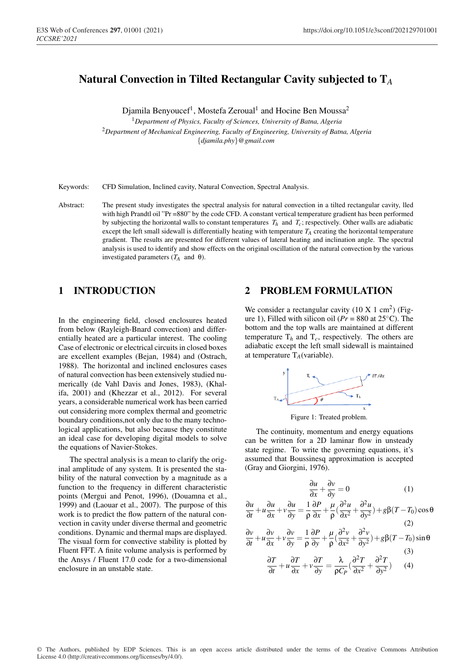# Natural Convection in Tilted Rectangular Cavity subjected to T*A*

Djamila Benyoucef<sup>1</sup>, Mostefa Zeroual<sup>1</sup> and Hocine Ben Moussa<sup>2</sup>

<sup>1</sup>*Department of Physics, Faculty of Sciences, University of Batna, Algeria* <sup>2</sup>*Department of Mechanical Engineering, Faculty of Engineering, University of Batna, Algeria* {*djamila.phy*}*@gmail.com*

Keywords: CFD Simulation, Inclined cavity, Natural Convection, Spectral Analysis.

Abstract: The present study investigates the spectral analysis for natural convection in a tilted rectangular cavity, lled with high Prandtl oil "Pr =880" by the code CFD. A constant vertical temperature gradient has been performed by subjecting the horizontal walls to constant temperatures  $T_h$  and  $T_c$ ; respectively. Other walls are adiabatic except the left small sidewall is differentially heating with temperature  $T_A$  creating the horizontal temperature gradient. The results are presented for different values of lateral heating and inclination angle. The spectral analysis is used to identify and show effects on the original oscillation of the natural convection by the various investigated parameters  $(T_A$  and θ).

## 1 INTRODUCTION

In the engineering field, closed enclosures heated from below (Rayleigh-Bnard convection) and differentially heated are a particular interest. The cooling Case of electronic or electrical circuits in closed boxes are excellent examples (Bejan, 1984) and (Ostrach, 1988). The horizontal and inclined enclosures cases of natural convection has been extensively studied numerically (de Vahl Davis and Jones, 1983), (Khalifa, 2001) and (Khezzar et al., 2012). For several years, a considerable numerical work has been carried out considering more complex thermal and geometric boundary conditions,not only due to the many technological applications, but also because they constitute an ideal case for developing digital models to solve the equations of Navier-Stokes.

The spectral analysis is a mean to clarify the original amplitude of any system. It is presented the stability of the natural convection by a magnitude as a function to the frequency in different characteristic points (Mergui and Penot, 1996), (Douamna et al., 1999) and (Laouar et al., 2007). The purpose of this work is to predict the flow pattern of the natural convection in cavity under diverse thermal and geometric conditions. Dynamic and thermal maps are displayed. The visual form for convective stability is plotted by Fluent FFT. A finite volume analysis is performed by the Ansys / Fluent 17.0 code for a two-dimensional enclosure in an unstable state.

## 2 PROBLEM FORMULATION

We consider a rectangular cavity  $(10 \text{ X } 1 \text{ cm}^2)$  (Figure 1), Filled with silicon oil ( $Pr = 880$  at  $25^{\circ}$ C). The bottom and the top walls are maintained at different temperature  $T_h$  and  $T_c$ , respectively. The others are adiabatic except the left small sidewall is maintained at temperature  $T_A$ (variable).



Figure 1: Treated problem.

The continuity, momentum and energy equations can be written for a 2D laminar flow in unsteady state regime. To write the governing equations, it's assumed that Boussinesq approximation is accepted (Gray and Giorgini, 1976).

$$
\frac{\partial u}{\partial x} + \frac{\partial v}{\partial y} = 0 \tag{1}
$$

$$
\frac{\partial u}{\partial t} + u \frac{\partial u}{\partial x} + v \frac{\partial u}{\partial y} = \frac{1}{\rho} \frac{\partial P}{\partial x} + \frac{\mu}{\rho} \left( \frac{\partial^2 u}{\partial x^2} + \frac{\partial^2 u}{\partial y^2} \right) + g \beta (T - T_0) \cos \theta
$$
\n(2)\n
$$
\frac{\partial v}{\partial y} = \frac{\partial v}{\partial y} + \frac{1}{\rho} \frac{\partial P}{\partial y} + \frac{\mu}{\rho} \frac{\partial^2 v}{\partial y} + \frac{\partial^2 v}{\partial y^2} + g \beta (T - T_0) \cos \theta
$$

$$
\frac{\partial v}{\partial t} + u \frac{\partial v}{\partial x} + v \frac{\partial v}{\partial y} = \frac{1}{\rho} \frac{\partial P}{\partial y} + \frac{\mu}{\rho} \left( \frac{\partial^2 v}{\partial x^2} + \frac{\partial^2 v}{\partial y^2} \right) + g \beta (T - T_0) \sin \theta
$$
\n
$$
\frac{\partial T}{\partial T} = \frac{\partial T}{\partial T} = \frac{\partial T}{\partial T} = \frac{\partial^2 T}{\partial T^2} = \frac{\partial^2 T}{\partial T^2} = 0
$$
\n(3)

$$
\frac{\partial T}{\partial t} + u \frac{\partial T}{\partial x} + v \frac{\partial T}{\partial y} = \frac{\lambda}{\rho C_P} \left( \frac{\partial^2 T}{\partial x^2} + \frac{\partial^2 T}{\partial y^2} \right) \tag{4}
$$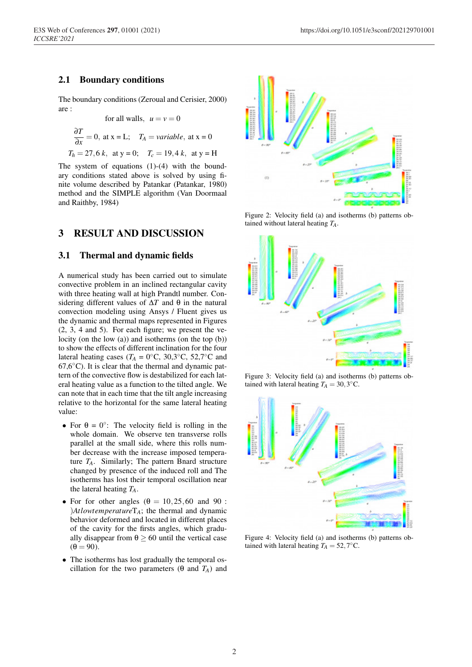#### 2.1 Boundary conditions

The boundary conditions (Zeroual and Cerisier, 2000) are :

for all walls, 
$$
u = v = 0
$$
  
\n
$$
\frac{\partial T}{\partial x} = 0, \text{ at } x = L; \quad T_A = \text{variable, at } x = 0
$$
\n
$$
T_h = 27, 6 \, k, \text{ at } y = 0; \quad T_c = 19, 4 \, k, \text{ at } y = H
$$

The system of equations  $(1)-(4)$  with the boundary conditions stated above is solved by using finite volume described by Patankar (Patankar, 1980) method and the SIMPLE algorithm (Van Doormaal and Raithby, 1984)

## 3 RESULT AND DISCUSSION

#### 3.1 Thermal and dynamic fields

A numerical study has been carried out to simulate convective problem in an inclined rectangular cavity with three heating wall at high Prandtl number. Considering different values of ∆*T* and θ in the natural convection modeling using Ansys / Fluent gives us the dynamic and thermal maps represented in Figures (2, 3, 4 and 5). For each figure; we present the velocity (on the low (a)) and isotherms (on the top (b)) to show the effects of different inclination for the four lateral heating cases ( $T_A = 0$ °C, 30,3°C, 52,7°C and  $67,6^{\circ}$ C). It is clear that the thermal and dynamic pattern of the convective flow is destabilized for each lateral heating value as a function to the tilted angle. We can note that in each time that the tilt angle increasing relative to the horizontal for the same lateral heating value:

- For  $\theta = 0^\circ$ : The velocity field is rolling in the whole domain. We observe ten transverse rolls parallel at the small side, where this rolls number decrease with the increase imposed temperature *TA*. Similarly; The pattern Bnard structure changed by presence of the induced roll and The isotherms has lost their temporal oscillation near the lateral heating *TA*.
- For for other angles  $(\theta = 10, 25, 60, \text{ and } 90)$ : )*Atlowtemperature*T*A*; the thermal and dynamic behavior deformed and located in different places of the cavity for the firsts angles, which gradually disappear from  $\theta \ge 60$  until the vertical case  $(\theta = 90)$ .
- The isotherms has lost gradually the temporal oscillation for the two parameters ( $\theta$  and  $T_A$ ) and



Figure 2: Velocity field (a) and isotherms (b) patterns obtained without lateral heating *TA*.



Figure 3: Velocity field (a) and isotherms (b) patterns obtained with lateral heating  $T_A = 30,3$ °C.



Figure 4: Velocity field (a) and isotherms (b) patterns obtained with lateral heating  $T_A = 52,7$ °C.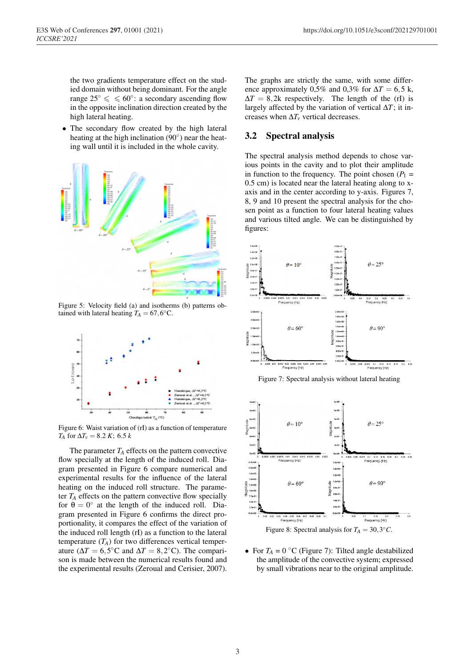the two gradients temperature effect on the studied domain without being dominant. For the angle range  $25° \leqslant 60°$ : a secondary ascending flow in the opposite inclination direction created by the high lateral heating.

• The secondary flow created by the high lateral heating at the high inclination  $(90°)$  near the heating wall until it is included in the whole cavity.



Figure 5: Velocity field (a) and isotherms (b) patterns obtained with lateral heating  $T_A = 67,6$ <sup>°</sup>C.



Figure 6: Waist variation of (rI) as a function of temperature *T<sub>A</sub>* for  $\Delta T_v = 8.2 K$ ; 6.5 *k* 

The parameter  $T_A$  effects on the pattern convective flow specially at the length of the induced roll. Diagram presented in Figure 6 compare numerical and experimental results for the influence of the lateral heating on the induced roll structure. The parameter  $T_A$  effects on the pattern convective flow specially for  $\theta = 0^\circ$  at the length of the induced roll. Diagram presented in Figure 6 confirms the direct proportionality, it compares the effect of the variation of the induced roll length (rI) as a function to the lateral temperature  $(T_A)$  for two differences vertical temperature ( $\Delta T = 6,5$ °C and  $\Delta T = 8,2$ °C). The comparison is made between the numerical results found and the experimental results (Zeroual and Cerisier, 2007).

The graphs are strictly the same, with some difference approximately 0,5% and 0,3% for  $\Delta T = 6.5$  k,  $\Delta T = 8,2k$  respectively. The length of the (rI) is largely affected by the variation of vertical ∆*T*; it increases when  $\Delta T_v$  vertical decreases.

#### 3.2 Spectral analysis

The spectral analysis method depends to chose various points in the cavity and to plot their amplitude in function to the frequency. The point chosen  $(P_1 =$ 0.5 cm) is located near the lateral heating along to xaxis and in the center according to y-axis. Figures 7, 8, 9 and 10 present the spectral analysis for the chosen point as a function to four lateral heating values and various tilted angle. We can be distinguished by figures:







Figure 8: Spectral analysis for  $T_A = 30,3$ °C.

• For  $T_A = 0$  °C (Figure 7): Tilted angle destabilized the amplitude of the convective system; expressed by small vibrations near to the original amplitude.